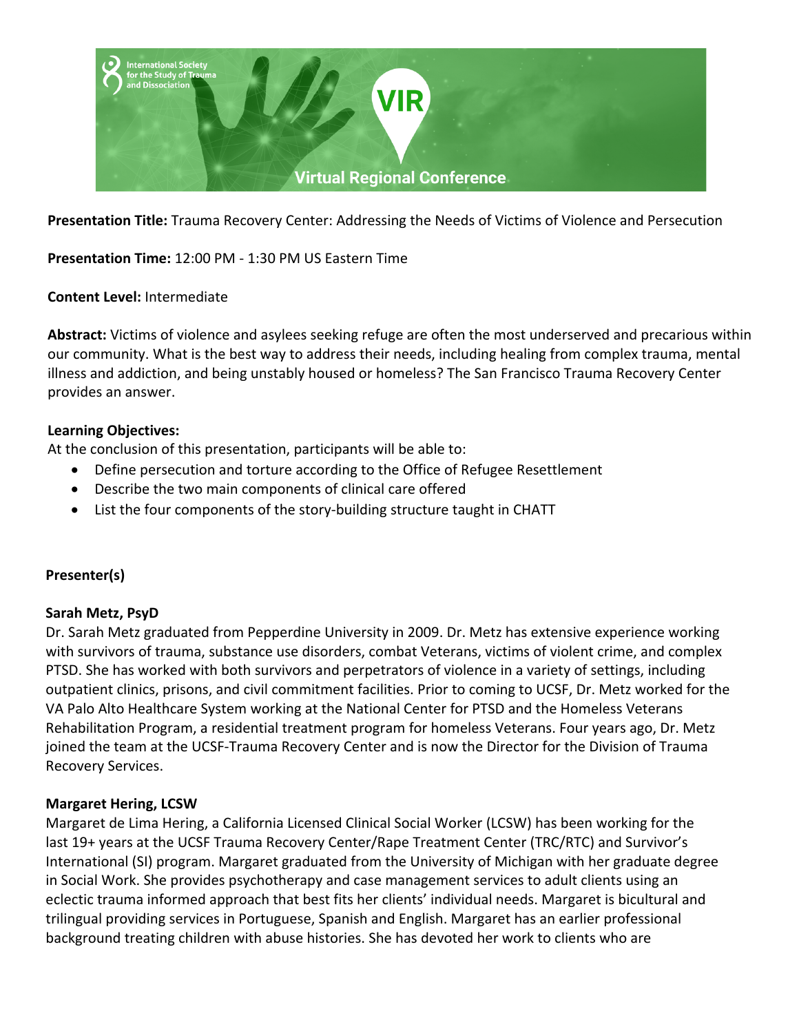

**Presentation Title:** Trauma Recovery Center: Addressing the Needs of Victims of Violence and Persecution

**Presentation Time:** 12:00 PM - 1:30 PM US Eastern Time

### **Content Level:** Intermediate

**Abstract:** Victims of violence and asylees seeking refuge are often the most underserved and precarious within our community. What is the best way to address their needs, including healing from complex trauma, mental illness and addiction, and being unstably housed or homeless? The San Francisco Trauma Recovery Center provides an answer.

### **Learning Objectives:**

At the conclusion of this presentation, participants will be able to:

- Define persecution and torture according to the Office of Refugee Resettlement
- Describe the two main components of clinical care offered
- List the four components of the story-building structure taught in CHATT

## **Presenter(s)**

#### **Sarah Metz, PsyD**

Dr. Sarah Metz graduated from Pepperdine University in 2009. Dr. Metz has extensive experience working with survivors of trauma, substance use disorders, combat Veterans, victims of violent crime, and complex PTSD. She has worked with both survivors and perpetrators of violence in a variety of settings, including outpatient clinics, prisons, and civil commitment facilities. Prior to coming to UCSF, Dr. Metz worked for the VA Palo Alto Healthcare System working at the National Center for PTSD and the Homeless Veterans Rehabilitation Program, a residential treatment program for homeless Veterans. Four years ago, Dr. Metz joined the team at the UCSF-Trauma Recovery Center and is now the Director for the Division of Trauma Recovery Services.

#### **Margaret Hering, LCSW**

Margaret de Lima Hering, a California Licensed Clinical Social Worker (LCSW) has been working for the last 19+ years at the UCSF Trauma Recovery Center/Rape Treatment Center (TRC/RTC) and Survivor's International (SI) program. Margaret graduated from the University of Michigan with her graduate degree in Social Work. She provides psychotherapy and case management services to adult clients using an eclectic trauma informed approach that best fits her clients' individual needs. Margaret is bicultural and trilingual providing services in Portuguese, Spanish and English. Margaret has an earlier professional background treating children with abuse histories. She has devoted her work to clients who are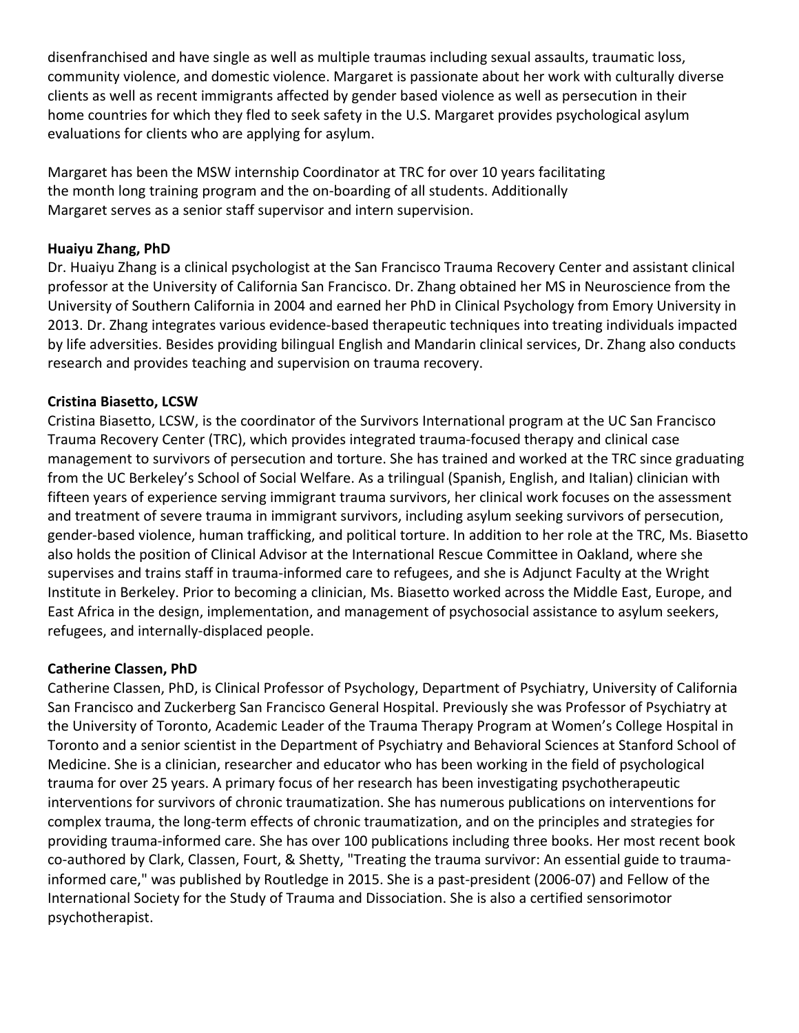disenfranchised and have single as well as multiple traumas including sexual assaults, traumatic loss, community violence, and domestic violence. Margaret is passionate about her work with culturally diverse clients as well as recent immigrants affected by gender based violence as well as persecution in their home countries for which they fled to seek safety in the U.S. Margaret provides psychological asylum evaluations for clients who are applying for asylum.

Margaret has been the MSW internship Coordinator at TRC for over 10 years facilitating the month long training program and the on-boarding of all students. Additionally Margaret serves as a senior staff supervisor and intern supervision.

## **Huaiyu Zhang, PhD**

Dr. Huaiyu Zhang is a clinical psychologist at the San Francisco Trauma Recovery Center and assistant clinical professor at the University of California San Francisco. Dr. Zhang obtained her MS in Neuroscience from the University of Southern California in 2004 and earned her PhD in Clinical Psychology from Emory University in 2013. Dr. Zhang integrates various evidence-based therapeutic techniques into treating individuals impacted by life adversities. Besides providing bilingual English and Mandarin clinical services, Dr. Zhang also conducts research and provides teaching and supervision on trauma recovery.

## **Cristina Biasetto, LCSW**

Cristina Biasetto, LCSW, is the coordinator of the Survivors International program at the UC San Francisco Trauma Recovery Center (TRC), which provides integrated trauma-focused therapy and clinical case management to survivors of persecution and torture. She has trained and worked at the TRC since graduating from the UC Berkeley's School of Social Welfare. As a trilingual (Spanish, English, and Italian) clinician with fifteen years of experience serving immigrant trauma survivors, her clinical work focuses on the assessment and treatment of severe trauma in immigrant survivors, including asylum seeking survivors of persecution, gender-based violence, human trafficking, and political torture. In addition to her role at the TRC, Ms. Biasetto also holds the position of Clinical Advisor at the International Rescue Committee in Oakland, where she supervises and trains staff in trauma-informed care to refugees, and she is Adjunct Faculty at the Wright Institute in Berkeley. Prior to becoming a clinician, Ms. Biasetto worked across the Middle East, Europe, and East Africa in the design, implementation, and management of psychosocial assistance to asylum seekers, refugees, and internally-displaced people.

## **Catherine Classen, PhD**

Catherine Classen, PhD, is Clinical Professor of Psychology, Department of Psychiatry, University of California San Francisco and Zuckerberg San Francisco General Hospital. Previously she was Professor of Psychiatry at the University of Toronto, Academic Leader of the Trauma Therapy Program at Women's College Hospital in Toronto and a senior scientist in the Department of Psychiatry and Behavioral Sciences at Stanford School of Medicine. She is a clinician, researcher and educator who has been working in the field of psychological trauma for over 25 years. A primary focus of her research has been investigating psychotherapeutic interventions for survivors of chronic traumatization. She has numerous publications on interventions for complex trauma, the long-term effects of chronic traumatization, and on the principles and strategies for providing trauma-informed care. She has over 100 publications including three books. Her most recent book co-authored by Clark, Classen, Fourt, & Shetty, "Treating the trauma survivor: An essential guide to traumainformed care," was published by Routledge in 2015. She is a past-president (2006-07) and Fellow of the International Society for the Study of Trauma and Dissociation. She is also a certified sensorimotor psychotherapist.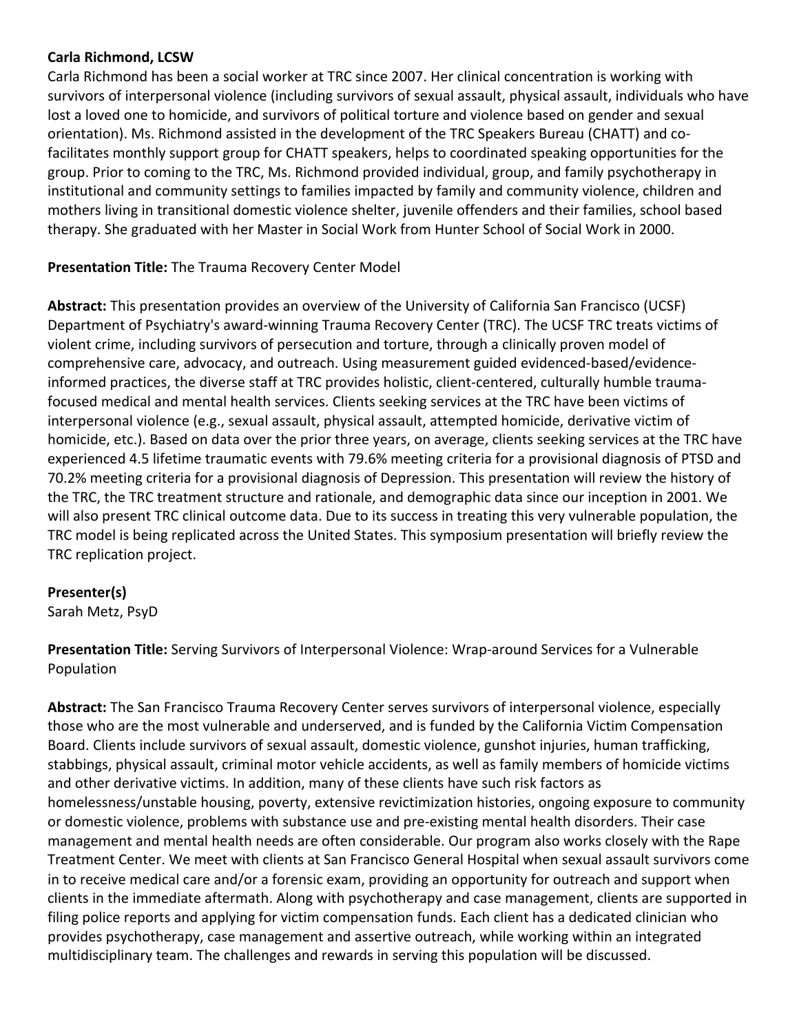### **Carla Richmond, LCSW**

Carla Richmond has been a social worker at TRC since 2007. Her clinical concentration is working with survivors of interpersonal violence (including survivors of sexual assault, physical assault, individuals who have lost a loved one to homicide, and survivors of political torture and violence based on gender and sexual orientation). Ms. Richmond assisted in the development of the TRC Speakers Bureau (CHATT) and cofacilitates monthly support group for CHATT speakers, helps to coordinated speaking opportunities for the group. Prior to coming to the TRC, Ms. Richmond provided individual, group, and family psychotherapy in institutional and community settings to families impacted by family and community violence, children and mothers living in transitional domestic violence shelter, juvenile offenders and their families, school based therapy. She graduated with her Master in Social Work from Hunter School of Social Work in 2000.

## **Presentation Title:** The Trauma Recovery Center Model

**Abstract:** This presentation provides an overview of the University of California San Francisco (UCSF) Department of Psychiatry's award-winning Trauma Recovery Center (TRC). The UCSF TRC treats victims of violent crime, including survivors of persecution and torture, through a clinically proven model of comprehensive care, advocacy, and outreach. Using measurement guided evidenced-based/evidenceinformed practices, the diverse staff at TRC provides holistic, client-centered, culturally humble traumafocused medical and mental health services. Clients seeking services at the TRC have been victims of interpersonal violence (e.g., sexual assault, physical assault, attempted homicide, derivative victim of homicide, etc.). Based on data over the prior three years, on average, clients seeking services at the TRC have experienced 4.5 lifetime traumatic events with 79.6% meeting criteria for a provisional diagnosis of PTSD and 70.2% meeting criteria for a provisional diagnosis of Depression. This presentation will review the history of the TRC, the TRC treatment structure and rationale, and demographic data since our inception in 2001. We will also present TRC clinical outcome data. Due to its success in treating this very vulnerable population, the TRC model is being replicated across the United States. This symposium presentation will briefly review the TRC replication project.

#### **Presenter(s)**

Sarah Metz, PsyD

**Presentation Title:** Serving Survivors of Interpersonal Violence: Wrap-around Services for a Vulnerable Population

**Abstract:** The San Francisco Trauma Recovery Center serves survivors of interpersonal violence, especially those who are the most vulnerable and underserved, and is funded by the California Victim Compensation Board. Clients include survivors of sexual assault, domestic violence, gunshot injuries, human trafficking, stabbings, physical assault, criminal motor vehicle accidents, as well as family members of homicide victims and other derivative victims. In addition, many of these clients have such risk factors as homelessness/unstable housing, poverty, extensive revictimization histories, ongoing exposure to community or domestic violence, problems with substance use and pre-existing mental health disorders. Their case management and mental health needs are often considerable. Our program also works closely with the Rape Treatment Center. We meet with clients at San Francisco General Hospital when sexual assault survivors come in to receive medical care and/or a forensic exam, providing an opportunity for outreach and support when clients in the immediate aftermath. Along with psychotherapy and case management, clients are supported in filing police reports and applying for victim compensation funds. Each client has a dedicated clinician who provides psychotherapy, case management and assertive outreach, while working within an integrated multidisciplinary team. The challenges and rewards in serving this population will be discussed.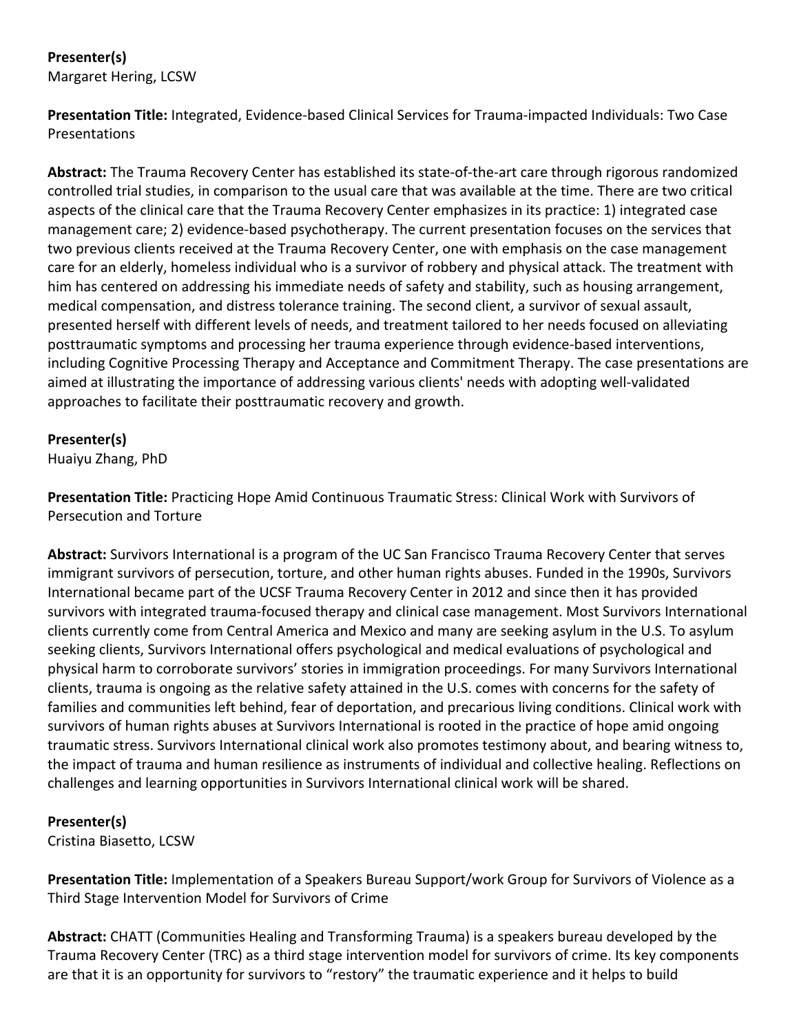## **Presenter(s)** Margaret Hering, LCSW

**Presentation Title:** Integrated, Evidence-based Clinical Services for Trauma-impacted Individuals: Two Case Presentations

**Abstract:** The Trauma Recovery Center has established its state-of-the-art care through rigorous randomized controlled trial studies, in comparison to the usual care that was available at the time. There are two critical aspects of the clinical care that the Trauma Recovery Center emphasizes in its practice: 1) integrated case management care; 2) evidence-based psychotherapy. The current presentation focuses on the services that two previous clients received at the Trauma Recovery Center, one with emphasis on the case management care for an elderly, homeless individual who is a survivor of robbery and physical attack. The treatment with him has centered on addressing his immediate needs of safety and stability, such as housing arrangement, medical compensation, and distress tolerance training. The second client, a survivor of sexual assault, presented herself with different levels of needs, and treatment tailored to her needs focused on alleviating posttraumatic symptoms and processing her trauma experience through evidence-based interventions, including Cognitive Processing Therapy and Acceptance and Commitment Therapy. The case presentations are aimed at illustrating the importance of addressing various clients' needs with adopting well-validated approaches to facilitate their posttraumatic recovery and growth.

## **Presenter(s)**

Huaiyu Zhang, PhD

**Presentation Title:** Practicing Hope Amid Continuous Traumatic Stress: Clinical Work with Survivors of Persecution and Torture

**Abstract:** Survivors International is a program of the UC San Francisco Trauma Recovery Center that serves immigrant survivors of persecution, torture, and other human rights abuses. Funded in the 1990s, Survivors International became part of the UCSF Trauma Recovery Center in 2012 and since then it has provided survivors with integrated trauma-focused therapy and clinical case management. Most Survivors International clients currently come from Central America and Mexico and many are seeking asylum in the U.S. To asylum seeking clients, Survivors International offers psychological and medical evaluations of psychological and physical harm to corroborate survivors' stories in immigration proceedings. For many Survivors International clients, trauma is ongoing as the relative safety attained in the U.S. comes with concerns for the safety of families and communities left behind, fear of deportation, and precarious living conditions. Clinical work with survivors of human rights abuses at Survivors International is rooted in the practice of hope amid ongoing traumatic stress. Survivors International clinical work also promotes testimony about, and bearing witness to, the impact of trauma and human resilience as instruments of individual and collective healing. Reflections on challenges and learning opportunities in Survivors International clinical work will be shared.

# **Presenter(s)**

Cristina Biasetto, LCSW

**Presentation Title:** Implementation of a Speakers Bureau Support/work Group for Survivors of Violence as a Third Stage Intervention Model for Survivors of Crime

**Abstract:** CHATT (Communities Healing and Transforming Trauma) is a speakers bureau developed by the Trauma Recovery Center (TRC) as a third stage intervention model for survivors of crime. Its key components are that it is an opportunity for survivors to "restory" the traumatic experience and it helps to build